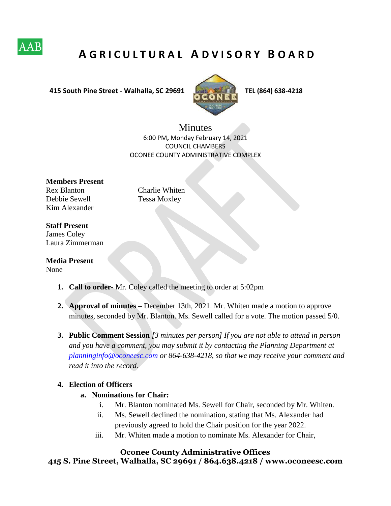

# **A G R I C U L T U R A L A D V I S O R Y B O A R D**

 **415 South Pine Street - Walhalla, SC 29691 TEL (864) 638-4218**



**Minutes** 6:00 PM**,** Monday February 14, 2021 COUNCIL CHAMBERS OCONEE COUNTY ADMINISTRATIVE COMPLEX

**Members Present**  Rex Blanton Charlie Whiten Debbie Sewell Tessa Moxley Kim Alexander

#### **Staff Present**

James Coley Laura Zimmerman

**Media Present** 

None

- **1. Call to order-** Mr. Coley called the meeting to order at 5:02pm
- **2. Approval of minutes –** December 13th, 2021. Mr. Whiten made a motion to approve minutes, seconded by Mr. Blanton. Ms. Sewell called for a vote. The motion passed 5/0.
- **3. Public Comment Session** *[3 minutes per person] If you are not able to attend in person and you have a comment, you may submit it by contacting the Planning Department at planninginfo@oconeesc.com or 864-638-4218, so that we may receive your comment and read it into the record.*

#### **4. Election of Officers**

#### **a. Nominations for Chair:**

- i. Mr. Blanton nominated Ms. Sewell for Chair, seconded by Mr. Whiten.
- ii. Ms. Sewell declined the nomination, stating that Ms. Alexander had previously agreed to hold the Chair position for the year 2022.
- iii. Mr. Whiten made a motion to nominate Ms. Alexander for Chair,

#### **Oconee County Administrative Offices**

**415 S. Pine Street, Walhalla, SC 29691 / 864.638.4218 / www.oconeesc.com**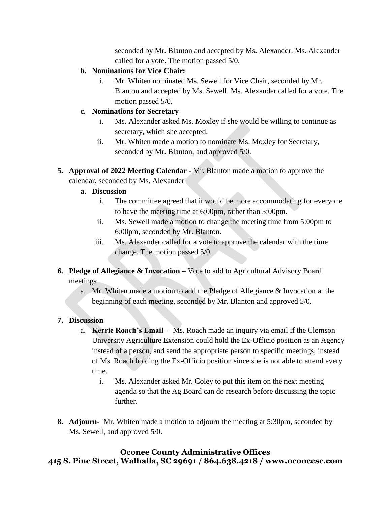seconded by Mr. Blanton and accepted by Ms. Alexander. Ms. Alexander called for a vote. The motion passed 5/0.

### **b. Nominations for Vice Chair:**

i. Mr. Whiten nominated Ms. Sewell for Vice Chair, seconded by Mr. Blanton and accepted by Ms. Sewell. Ms. Alexander called for a vote. The motion passed 5/0.

### **c. Nominations for Secretary**

- i. Ms. Alexander asked Ms. Moxley if she would be willing to continue as secretary, which she accepted.
- ii. Mr. Whiten made a motion to nominate Ms. Moxley for Secretary, seconded by Mr. Blanton, and approved 5/0.
- **5. Approval of 2022 Meeting Calendar -** Mr. Blanton made a motion to approve the calendar, seconded by Ms. Alexander

### **a. Discussion**

- i. The committee agreed that it would be more accommodating for everyone to have the meeting time at 6:00pm, rather than 5:00pm.
- ii. Ms. Sewell made a motion to change the meeting time from 5:00pm to 6:00pm, seconded by Mr. Blanton.
- iii. Ms. Alexander called for a vote to approve the calendar with the time change. The motion passed 5/0.
- **6. Pledge of Allegiance & Invocation –** Vote to add to Agricultural Advisory Board meetings
	- a. Mr. Whiten made a motion to add the Pledge of Allegiance & Invocation at the beginning of each meeting, seconded by Mr. Blanton and approved 5/0.

## **7. Discussion**

- a. **Kerrie Roach's Email**  Ms. Roach made an inquiry via email if the Clemson University Agriculture Extension could hold the Ex-Officio position as an Agency instead of a person, and send the appropriate person to specific meetings, instead of Ms. Roach holding the Ex-Officio position since she is not able to attend every time.
	- i. Ms. Alexander asked Mr. Coley to put this item on the next meeting agenda so that the Ag Board can do research before discussing the topic further.
- **8. Adjourn-** Mr. Whiten made a motion to adjourn the meeting at 5:30pm*,* seconded by Ms. Sewell, and approved 5/0.

# **Oconee County Administrative Offices 415 S. Pine Street, Walhalla, SC 29691 / 864.638.4218 / www.oconeesc.com**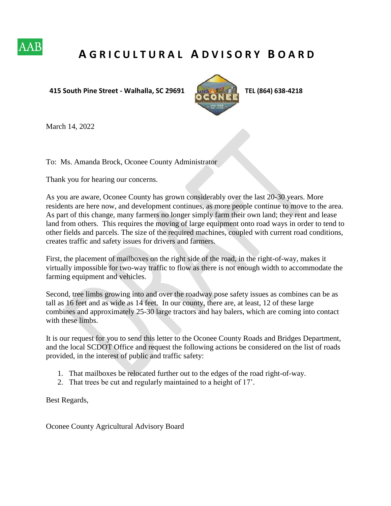

# **A G R I C U L T U R A L A D V I S O R Y B O A R D**

#### **415 South Pine Street - Walhalla, SC 29691 TEL (864) 638-4218**



March 14, 2022

To: Ms. Amanda Brock, Oconee County Administrator

Thank you for hearing our concerns.

As you are aware, Oconee County has grown considerably over the last 20-30 years. More residents are here now, and development continues, as more people continue to move to the area. As part of this change, many farmers no longer simply farm their own land; they rent and lease land from others. This requires the moving of large equipment onto road ways in order to tend to other fields and parcels. The size of the required machines, coupled with current road conditions, creates traffic and safety issues for drivers and farmers.

First, the placement of mailboxes on the right side of the road, in the right-of-way, makes it virtually impossible for two-way traffic to flow as there is not enough width to accommodate the farming equipment and vehicles.

Second, tree limbs growing into and over the roadway pose safety issues as combines can be as tall as 16 feet and as wide as 14 feet. In our county, there are, at least, 12 of these large combines and approximately 25-30 large tractors and hay balers, which are coming into contact with these limbs.

It is our request for you to send this letter to the Oconee County Roads and Bridges Department, and the local SCDOT Office and request the following actions be considered on the list of roads provided, in the interest of public and traffic safety:

- 1. That mailboxes be relocated further out to the edges of the road right-of-way.
- 2. That trees be cut and regularly maintained to a height of 17'.

Best Regards,

Oconee County Agricultural Advisory Board